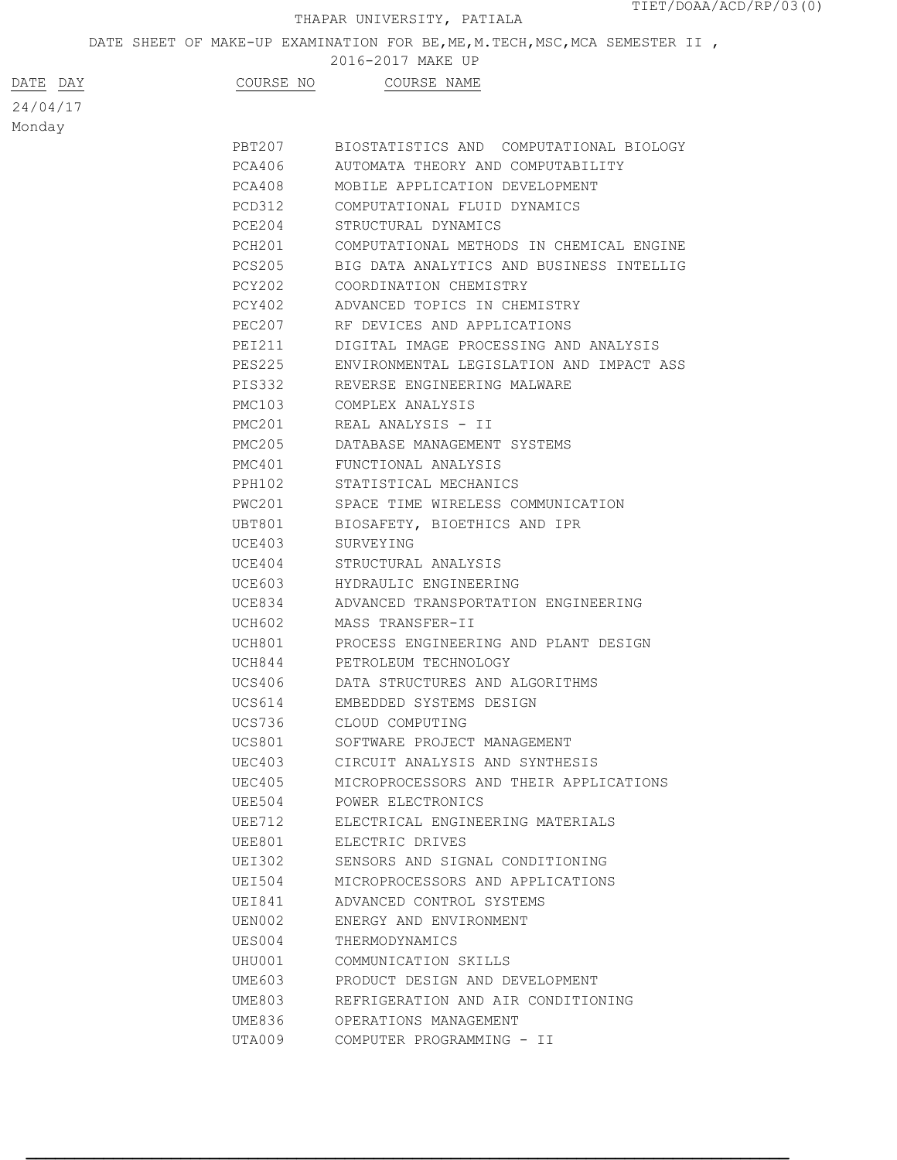DATE SHEET OF MAKE-UP EXAMINATION FOR BE, ME, M. TECH, MSC, MCA SEMESTER II,

|          |                  | 2016-2017 MAKE UP                                                   |
|----------|------------------|---------------------------------------------------------------------|
| DATE DAY | COURSE NO        | COURSE NAME                                                         |
| 24/04/17 |                  |                                                                     |
| Monday   |                  |                                                                     |
|          | PBT207           | BIOSTATISTICS AND COMPUTATIONAL BIOLOGY                             |
|          | PCA406           | AUTOMATA THEORY AND COMPUTABILITY                                   |
|          | PCA408           | MOBILE APPLICATION DEVELOPMENT                                      |
|          | PCD312           | COMPUTATIONAL FLUID DYNAMICS                                        |
|          | PCE204           | STRUCTURAL DYNAMICS                                                 |
|          | PCH201           | COMPUTATIONAL METHODS IN CHEMICAL ENGINE                            |
|          | PCS205           | BIG DATA ANALYTICS AND BUSINESS INTELLIG                            |
|          | PCY202           | COORDINATION CHEMISTRY                                              |
|          | PCY402           | ADVANCED TOPICS IN CHEMISTRY                                        |
|          | PEC207           | RF DEVICES AND APPLICATIONS                                         |
|          | PEI211           | DIGITAL IMAGE PROCESSING AND ANALYSIS                               |
|          | PES225           | ENVIRONMENTAL LEGISLATION AND IMPACT ASS                            |
|          | PIS332           | REVERSE ENGINEERING MALWARE                                         |
|          | PMC103           | COMPLEX ANALYSIS                                                    |
|          | PMC201           | REAL ANALYSIS - II                                                  |
|          | PMC205           | DATABASE MANAGEMENT SYSTEMS                                         |
|          | PMC401           | FUNCTIONAL ANALYSIS                                                 |
|          | PPH102           | STATISTICAL MECHANICS                                               |
|          | PWC201           | SPACE TIME WIRELESS COMMUNICATION                                   |
|          | UBT801           | BIOSAFETY, BIOETHICS AND IPR                                        |
|          | UCE403           | SURVEYING                                                           |
|          | UCE404           | STRUCTURAL ANALYSIS                                                 |
|          | UCE603           | HYDRAULIC ENGINEERING                                               |
|          | UCE834           | ADVANCED TRANSPORTATION ENGINEERING                                 |
|          | UCH602           | MASS TRANSFER-II                                                    |
|          | UCH801           | PROCESS ENGINEERING AND PLANT DESIGN                                |
|          | UCH844           | PETROLEUM TECHNOLOGY                                                |
|          | UCS406           | DATA STRUCTURES AND ALGORITHMS                                      |
|          | UCS614           | EMBEDDED SYSTEMS DESIGN                                             |
|          | UCS736           | CLOUD COMPUTING                                                     |
|          | UCS801           | SOFTWARE PROJECT MANAGEMENT                                         |
|          | UEC403           | CIRCUIT ANALYSIS AND SYNTHESIS                                      |
|          | UEC405           | MICROPROCESSORS AND THEIR APPLICATIONS                              |
|          | UEE504           | POWER ELECTRONICS                                                   |
|          | UEE712           | ELECTRICAL ENGINEERING MATERIALS                                    |
|          | UEE801           | ELECTRIC DRIVES                                                     |
|          | UEI302           | SENSORS AND SIGNAL CONDITIONING<br>MICROPROCESSORS AND APPLICATIONS |
|          | UEI504<br>UEI841 | ADVANCED CONTROL SYSTEMS                                            |
|          |                  |                                                                     |
|          | UEN002<br>UES004 | ENERGY AND ENVIRONMENT<br>THERMODYNAMICS                            |
|          | UHU001           | COMMUNICATION SKILLS                                                |
|          | UME603           | PRODUCT DESIGN AND DEVELOPMENT                                      |
|          | UME803           | REFRIGERATION AND AIR CONDITIONING                                  |
|          | UME836           | OPERATIONS MANAGEMENT                                               |
|          | UTA009           | COMPUTER PROGRAMMING - II                                           |
|          |                  |                                                                     |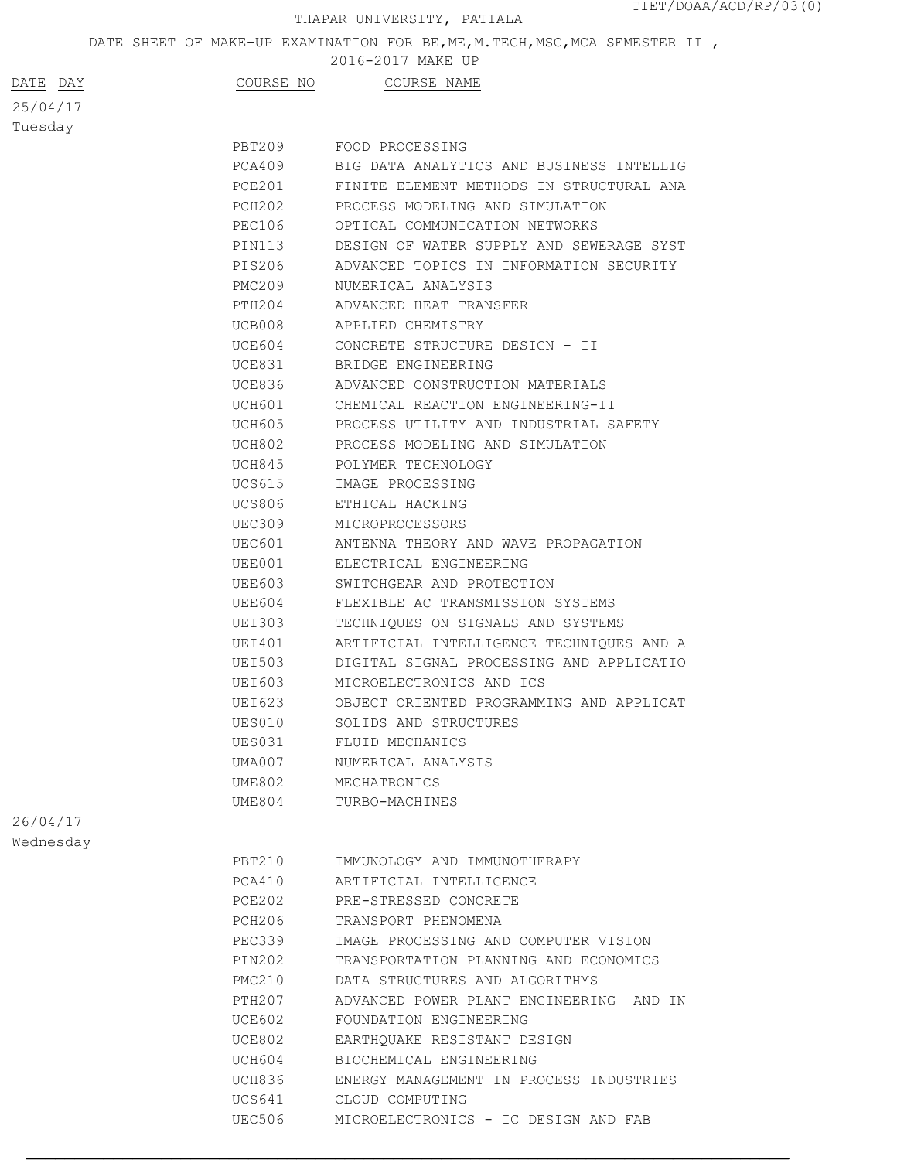DATE SHEET OF MAKE-UP EXAMINATION FOR BE, ME, M. TECH, MSC, MCA SEMESTER II,

2016-2017 MAKE UP

|           |               | ZUIU ZUI <i>FIEIRE</i> UI                |
|-----------|---------------|------------------------------------------|
| DATE DAY  | COURSE NO     | COURSE NAME                              |
| 25/04/17  |               |                                          |
| Tuesday   |               |                                          |
|           | PBT209        | FOOD PROCESSING                          |
|           | PCA409        | BIG DATA ANALYTICS AND BUSINESS INTELLIG |
|           | PCE201        | FINITE ELEMENT METHODS IN STRUCTURAL ANA |
|           | PCH202        | PROCESS MODELING AND SIMULATION          |
|           | PEC106        | OPTICAL COMMUNICATION NETWORKS           |
|           | PIN113        | DESIGN OF WATER SUPPLY AND SEWERAGE SYST |
|           | PIS206        | ADVANCED TOPICS IN INFORMATION SECURITY  |
|           | PMC209        | NUMERICAL ANALYSIS                       |
|           | PTH204        | ADVANCED HEAT TRANSFER                   |
|           | UCB008        | APPLIED CHEMISTRY                        |
|           | UCE604        | CONCRETE STRUCTURE DESIGN - II           |
|           | UCE831        | BRIDGE ENGINEERING                       |
|           | UCE836        | ADVANCED CONSTRUCTION MATERIALS          |
|           | UCH601        | CHEMICAL REACTION ENGINEERING-II         |
|           | UCH605        | PROCESS UTILITY AND INDUSTRIAL SAFETY    |
|           | UCH802        | PROCESS MODELING AND SIMULATION          |
|           | UCH845        | POLYMER TECHNOLOGY                       |
|           | UCS615        | IMAGE PROCESSING                         |
|           | UCS806        | ETHICAL HACKING                          |
|           | UEC309        | MICROPROCESSORS                          |
|           | UEC601        | ANTENNA THEORY AND WAVE PROPAGATION      |
|           | UEE001        | ELECTRICAL ENGINEERING                   |
|           | UEE603        | SWITCHGEAR AND PROTECTION                |
|           | UEE604        | FLEXIBLE AC TRANSMISSION SYSTEMS         |
|           | UEI303        | TECHNIQUES ON SIGNALS AND SYSTEMS        |
|           | UEI401        | ARTIFICIAL INTELLIGENCE TECHNIQUES AND A |
|           | UEI503        | DIGITAL SIGNAL PROCESSING AND APPLICATIO |
|           | UEI603        | MICROELECTRONICS AND ICS                 |
|           | UEI623        | OBJECT ORIENTED PROGRAMMING AND APPLICAT |
|           | <b>UES010</b> | SOLIDS AND STRUCTURES                    |
|           | UES031        | FLUID MECHANICS                          |
|           | UMA007        | NUMERICAL ANALYSIS                       |
|           | <b>UME802</b> | MECHATRONICS                             |
|           | UME804        | TURBO-MACHINES                           |
| 26/04/17  |               |                                          |
| Wednesday |               |                                          |
|           | PBT210        | IMMUNOLOGY AND IMMUNOTHERAPY             |
|           | PCA410        | ARTIFICIAL INTELLIGENCE                  |
|           | <b>PCE202</b> | PRE-STRESSED CONCRETE                    |
|           | PCH206        | TRANSPORT PHENOMENA                      |
|           | PEC339        | IMAGE PROCESSING AND COMPUTER VISION     |
|           | PIN202        | TRANSPORTATION PLANNING AND ECONOMICS    |
|           | PMC210        | DATA STRUCTURES AND ALGORITHMS           |
|           | PTH207        | ADVANCED POWER PLANT ENGINEERING AND IN  |
|           | UCE602        | FOUNDATION ENGINEERING                   |
|           | UCE802        | EARTHOUAKE RESISTANT DESIGN              |
|           | UCH604        | BIOCHEMICAL ENGINEERING                  |
|           | UCH836        | ENERGY MANAGEMENT IN PROCESS INDUSTRIES  |
|           | UCS641        | CLOUD COMPUTING                          |

UEC506 MICROELECTRONICS - IC DESIGN AND FAB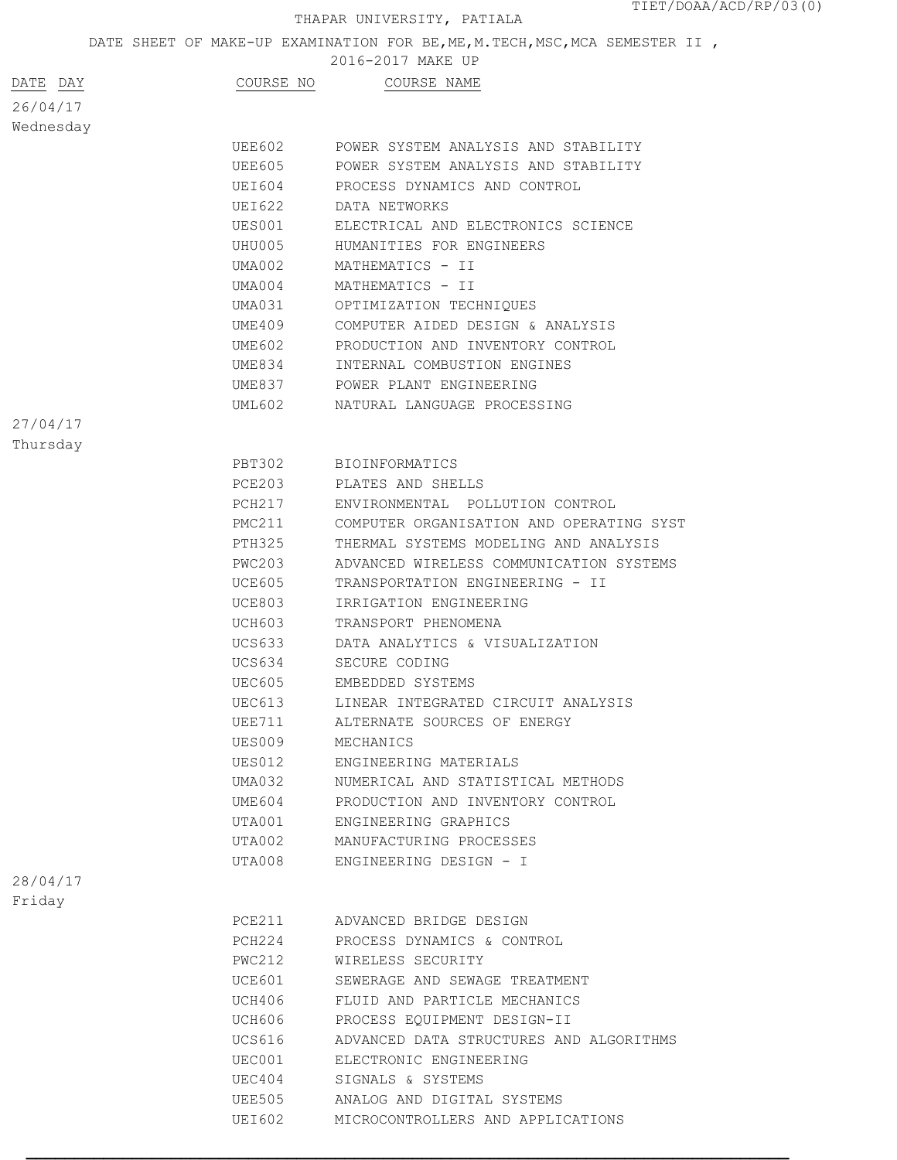DATE SHEET OF MAKE-UP EXAMINATION FOR BE, ME, M. TECH, MSC, MCA SEMESTER II,

2016-2017 MAKE UP

| DATE DAY  | COURSE NO     | COURSE NAME                              |
|-----------|---------------|------------------------------------------|
| 26/04/17  |               |                                          |
| Wednesday |               |                                          |
|           | <b>UEE602</b> | POWER SYSTEM ANALYSIS AND STABILITY      |
|           | <b>UEE605</b> | POWER SYSTEM ANALYSIS AND STABILITY      |
|           | UEI604        | PROCESS DYNAMICS AND CONTROL             |
|           | UEI622        | DATA NETWORKS                            |
|           | UES001        | ELECTRICAL AND ELECTRONICS SCIENCE       |
|           | UHU005        | HUMANITIES FOR ENGINEERS                 |
|           | UMA002        | MATHEMATICS - II                         |
|           | UMA004        | MATHEMATICS - II                         |
|           | UMA031        | OPTIMIZATION TECHNIQUES                  |
|           | UME409        | COMPUTER AIDED DESIGN & ANALYSIS         |
|           | <b>UME602</b> | PRODUCTION AND INVENTORY CONTROL         |
|           | UME834        | INTERNAL COMBUSTION ENGINES              |
|           | UME837        | POWER PLANT ENGINEERING                  |
|           | UML602        | NATURAL LANGUAGE PROCESSING              |
| 27/04/17  |               |                                          |
| Thursday  |               |                                          |
|           | PBT302        | BIOINFORMATICS                           |
|           | PCE203        | PLATES AND SHELLS                        |
|           | PCH217        | ENVIRONMENTAL POLLUTION CONTROL          |
|           | PMC211        | COMPUTER ORGANISATION AND OPERATING SYST |
|           | PTH325        | THERMAL SYSTEMS MODELING AND ANALYSIS    |
|           | PWC203        | ADVANCED WIRELESS COMMUNICATION SYSTEMS  |
|           | UCE605        | TRANSPORTATION ENGINEERING - II          |
|           | UCE803        | IRRIGATION ENGINEERING                   |
|           | UCH603        | TRANSPORT PHENOMENA                      |
|           | UCS633        | DATA ANALYTICS & VISUALIZATION           |
|           | UCS634        | SECURE CODING                            |
|           | <b>UEC605</b> | EMBEDDED SYSTEMS                         |
|           | UEC613        | LINEAR INTEGRATED CIRCUIT ANALYSIS       |
|           | UEE711        | ALTERNATE SOURCES OF ENERGY              |
|           | UES009        | MECHANICS                                |
|           | UES012        | ENGINEERING MATERIALS                    |
|           | UMA032        | NUMERICAL AND STATISTICAL METHODS        |
|           | UME 604       | PRODUCTION AND INVENTORY CONTROL         |
|           | UTA001        | ENGINEERING GRAPHICS                     |
|           | UTA002        | MANUFACTURING PROCESSES                  |
|           | UTA008        | ENGINEERING DESIGN - I                   |
| 28/04/17  |               |                                          |
| Friday    |               |                                          |
|           | PCE211        | ADVANCED BRIDGE DESIGN                   |
|           | PCH224        | PROCESS DYNAMICS & CONTROL               |
|           | PWC212        | WIRELESS SECURITY                        |
|           | UCE601        | SEWERAGE AND SEWAGE TREATMENT            |
|           | UCH406        | FLUID AND PARTICLE MECHANICS             |
|           | UCH606        | PROCESS EQUIPMENT DESIGN-II              |
|           | UCS616        | ADVANCED DATA STRUCTURES AND ALGORITHMS  |
|           | UEC001        | ELECTRONIC ENGINEERING                   |
|           | UEC404        | SIGNALS & SYSTEMS                        |
|           | UEE505        | ANALOG AND DIGITAL SYSTEMS               |
|           | UEI602        | MICROCONTROLLERS AND APPLICATIONS        |